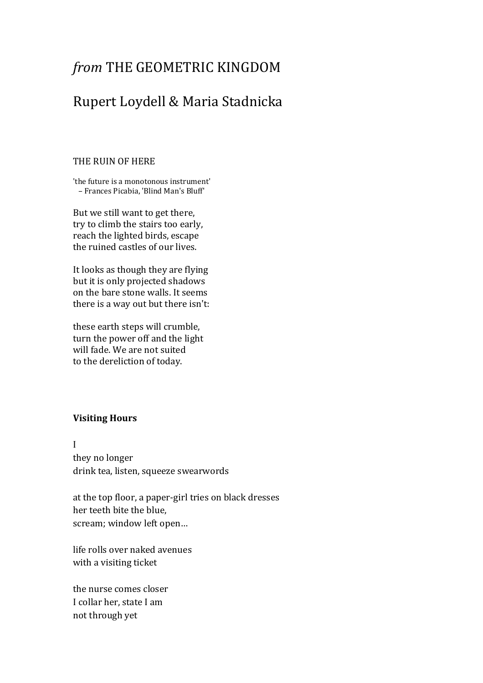# *from* THE GEOMETRIC KINGDOM

## Rupert Loydell & Maria Stadnicka

#### THE RUIN OF HERE

'the future is a monotonous instrument' – Frances Picabia, 'Blind Man's Bluff'

But we still want to get there, try to climb the stairs too early, reach the lighted birds, escape the ruined castles of our lives.

It looks as though they are flying but it is only projected shadows on the bare stone walls. It seems there is a way out but there isn't:

these earth steps will crumble, turn the power off and the light will fade. We are not suited to the dereliction of today.

## **Visiting Hours**

I they no longer drink tea, listen, squeeze swearwords

at the top floor, a paper-girl tries on black dresses her teeth bite the blue, scream; window left open…

life rolls over naked avenues with a visiting ticket

the nurse comes closer I collar her, state I am not through yet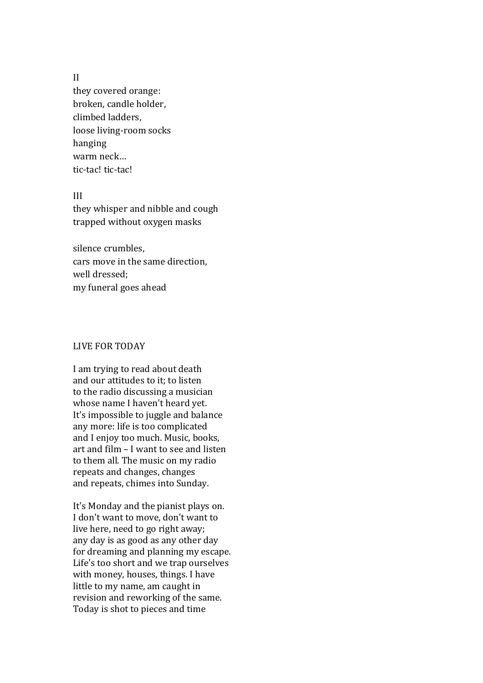#### II

they covered orange: broken, candle holder, climbed ladders, loose living-room socks hanging warm neck… tic-tac! tic-tac!

## III

they whisper and nibble and cough trapped without oxygen masks

silence crumbles, cars move in the same direction, well dressed; my funeral goes ahead

## LIVE FOR TODAY

I am trying to read about death and our attitudes to it; to listen to the radio discussing a musician whose name I haven't heard yet. It's impossible to juggle and balance any more: life is too complicated and I enjoy too much. Music, books, art and film – I want to see and listen to them all. The music on my radio repeats and changes, changes and repeats, chimes into Sunday.

It's Monday and the pianist plays on. I don't want to move, don't want to live here, need to go right away; any day is as good as any other day for dreaming and planning my escape. Life's too short and we trap ourselves with money, houses, things. I have little to my name, am caught in revision and reworking of the same. Today is shot to pieces and time